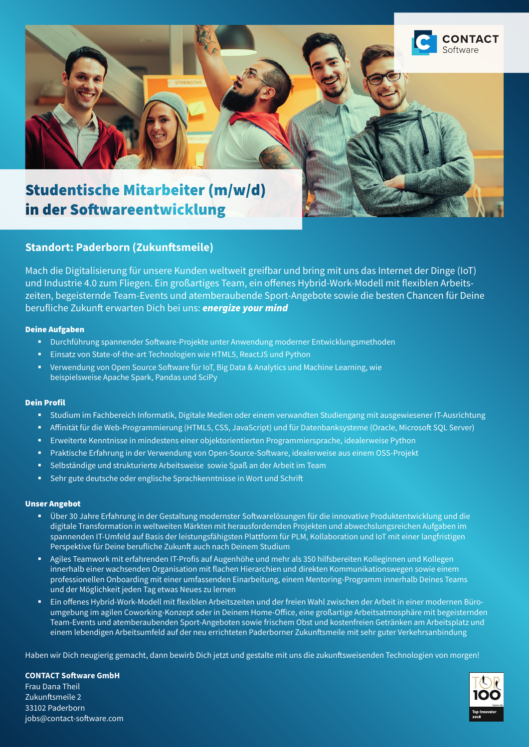

# in der Softwareentwicklung

# **Standort: Paderborn (Zukunftsmeile)**

Mach die Digitalisierung für unsere Kunden weltweit greifbar und bring mit uns das Internet der Dinge (IoT) und Industrie 4.0 zum Fliegen. Ein großartiges Team, ein offenes Hybrid-Work-Modell mit flexiblen Arbeitszeiten, begeisternde Team-Events und atemberaubende Sport-Angebote sowie die besten Chancen für Deine berufliche Zukunft erwarten Dich bei uns: *energize your mind*

#### Deine Aufgaben

- Durchführung spannender Software-Projekte unter Anwendung moderner Entwicklungsmethoden
- **Einsatz von State-of-the-art Technologien wie HTML5, ReactJS und Python**
- Verwendung von Open Source Software für IoT, Big Data & Analytics und Machine Learning, wie beispielsweise Apache Spark, Pandas und SciPy

## Dein Profil

- Studium im Fachbereich Informatik, Digitale Medien oder einem verwandten Studiengang mit ausgewiesener IT-Ausrichtung
- Affinität für die Web-Programmierung (HTML5, CSS, JavaScript) und für Datenbanksysteme (Oracle, Microsoft SQL Server)
- Erweiterte Kenntnisse in mindestens einer objektorientierten Programmiersprache, idealerweise Python
- Praktische Erfahrung in der Verwendung von Open-Source-Software, idealerweise aus einem OSS-Projekt
- Selbständige und strukturierte Arbeitsweise sowie Spaß an der Arbeit im Team
- Sehr gute deutsche oder englische Sprachkenntnisse in Wort und Schrift

## Unser Angebot

- Über 30 Jahre Erfahrung in der Gestaltung modernster Softwarelösungen für die innovative Produktentwicklung und die digitale Transformation in weltweiten Märkten mit herausfordernden Projekten und abwechslungsreichen Aufgaben im spannenden IT-Umfeld auf Basis der leistungsfähigsten Plattform für PLM, Kollaboration und IoT mit einer langfristigen Perspektive für Deine berufliche Zukunft auch nach Deinem Studium
- Agiles Teamwork mit erfahrenden IT-Profis auf Augenhöhe und mehr als 350 hilfsbereiten Kolleginnen und Kollegen innerhalb einer wachsenden Organisation mit flachen Hierarchien und direkten Kommunikationswegen sowie einem professionellen Onboarding mit einer umfassenden Einarbeitung, einem Mentoring-Programm innerhalb Deines Teams und der Möglichkeit jeden Tag etwas Neues zu lernen
- Ein offenes Hybrid-Work-Modell mit flexiblen Arbeitszeiten und der freien Wahl zwischen der Arbeit in einer modernen Büroumgebung im agilen Coworking-Konzept oder in Deinem Home-Office, eine großartige Arbeitsatmosphäre mit begeisternden Team-Events und atemberaubenden Sport-Angeboten sowie frischem Obst und kostenfreien Getränken am Arbeitsplatz und einem lebendigen Arbeitsumfeld auf der neu errichteten Paderborner Zukunftsmeile mit sehr guter Verkehrsanbindung

Haben wir Dich neugierig gemacht, dann bewirb Dich jetzt und gestalte mit uns die zukunftsweisenden Technologien von morgen!

**CONTACT Software GmbH** Frau Dana Theil Zukunftsmeile 2 33102 Paderborn jobs@contact-software.com